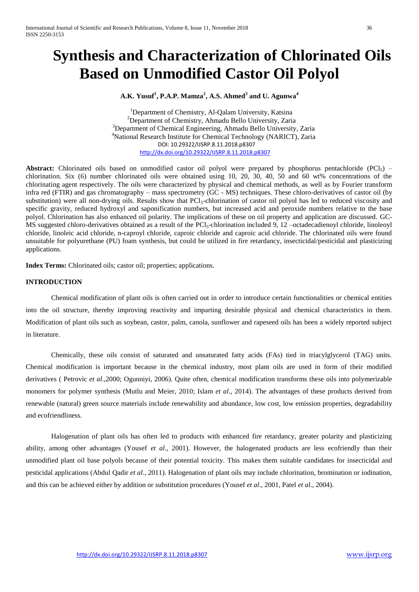# **Synthesis and Characterization of Chlorinated Oils Based on Unmodified Castor Oil Polyol**

# **A.K. Yusuf<sup>1</sup> , P.A.P. Mamza<sup>2</sup> , A.S. Ahmed<sup>3</sup> and U. Agunwa<sup>4</sup>**

<sup>1</sup>Department of Chemistry, Al-Qalam University, Katsina <sup>2</sup>Department of Chemistry, Ahmadu Bello University, Zaria <sup>3</sup>Department of Chemical Engineering, Ahmadu Bello University, Zaria <sup>4</sup>National Research Institute for Chemical Technology (NARICT), Zaria DOI: 10.29322/IJSRP.8.11.2018.p8307 <http://dx.doi.org/10.29322/IJSRP.8.11.2018.p8307>

Abstract: Chlorinated oils based on unmodified castor oil polyol were prepared by phosphorus pentachloride (PCl<sub>5</sub>) – chlorination. Six (6) number chlorinated oils were obtained using 10, 20, 30, 40, 50 and 60 wt% concentrations of the chlorinating agent respectively. The oils were characterized by physical and chemical methods, as well as by Fourier transform infra red (FTIR) and gas chromatography – mass spectrometry (GC - MS) techniques. These chloro-derivatives of castor oil (by substitution) were all non-drying oils. Results show that PCl<sub>5</sub>-chlorination of castor oil polyol has led to reduced viscosity and specific gravity, reduced hydroxyl and saponification numbers, but increased acid and peroxide numbers relative to the base polyol. Chlorination has also enhanced oil polarity. The implications of these on oil property and application are discussed. GC-MS suggested chloro-derivatives obtained as a result of the PCl<sub>5</sub>-chlorination included 9, 12 –octadecadienoyl chloride, linoleoyl chloride, linoleic acid chloride, n-caproyl chloride, caproic chloride and caproic acid chloride. The chlorinated oils were found unsuitable for polyurethane (PU) foam synthesis, but could be utilized in fire retardancy, insecticidal/pesticidal and plasticizing applications.

**Index Terms:** Chlorinated oils; castor oil; properties; applications.

## **INTRODUCTION**

Chemical modification of plant oils is often carried out in order to introduce certain functionalities or chemical entities into the oil structure, thereby improving reactivity and imparting desirable physical and chemical characteristics in them. Modification of plant oils such as soybean, castor, palm, canola, sunflower and rapeseed oils has been a widely reported subject in literature.

Chemically, these oils consist of saturated and unsaturated fatty acids (FAs) tied in triacylglycerol (TAG) units. Chemical modification is important because in the chemical industry, most plant oils are used in form of their modified derivatives ( Petrovic *et al*.,2000; Ogunniyi, 2006). Quite often, chemical modification transforms these oils into polymerizable monomers for polymer synthesis (Mutlu and Meier, 2010; Islam *et al*., 2014). The advantages of these products derived from renewable (natural) green source materials include renewability and abundance, low cost, low emission properties, degradability and ecofriendliness.

Halogenation of plant oils has often led to products with enhanced fire retardancy, greater polarity and plasticizing ability, among other advantages (Yousef *et al*., 2001). However, the halogenated products are less ecofriendly than their unmodified plant oil base polyols because of their potential toxicity. This makes them suitable candidates for insecticidal and pesticidal applications (Abdul Qadir *et al*., 2011). Halogenation of plant oils may include chlorination, bromination or iodination, and this can be achieved either by addition or substitution procedures (Yousef *et al*., 2001, Patel *et al*., 2004).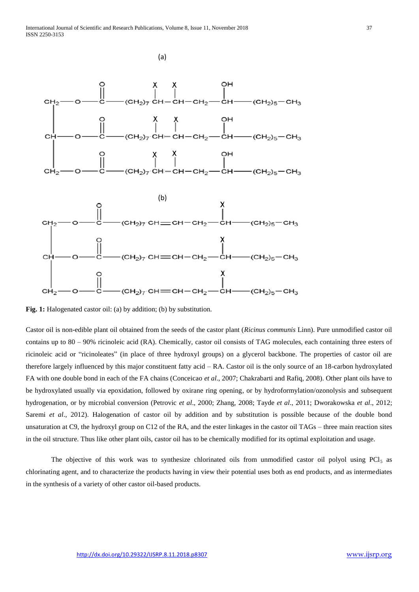

**Fig. 1:** Halogenated castor oil: (a) by addition; (b) by substitution.

Castor oil is non-edible plant oil obtained from the seeds of the castor plant (*Ricinus communis* Linn). Pure unmodified castor oil contains up to 80 – 90% ricinoleic acid (RA). Chemically, castor oil consists of TAG molecules, each containing three esters of ricinoleic acid or "ricinoleates" (in place of three hydroxyl groups) on a glycerol backbone. The properties of castor oil are therefore largely influenced by this major constituent fatty acid – RA. Castor oil is the only source of an 18-carbon hydroxylated FA with one double bond in each of the FA chains (Conceicao *et al*., 2007; Chakrabarti and Rafiq, 2008). Other plant oils have to be hydroxylated usually via epoxidation, followed by oxirane ring opening, or by hydroformylation/ozonolysis and subsequent hydrogenation, or by microbial conversion (Petrovic *et al*., 2000; Zhang, 2008; Tayde *et al*., 2011; Dworakowska *et al*., 2012; Saremi *et al*., 2012). Halogenation of castor oil by addition and by substitution is possible because of the double bond unsaturation at C9, the hydroxyl group on C12 of the RA, and the ester linkages in the castor oil TAGs – three main reaction sites in the oil structure. Thus like other plant oils, castor oil has to be chemically modified for its optimal exploitation and usage.

The objective of this work was to synthesize chlorinated oils from unmodified castor oil polyol using  $PCI<sub>5</sub>$  as chlorinating agent, and to characterize the products having in view their potential uses both as end products, and as intermediates in the synthesis of a variety of other castor oil-based products.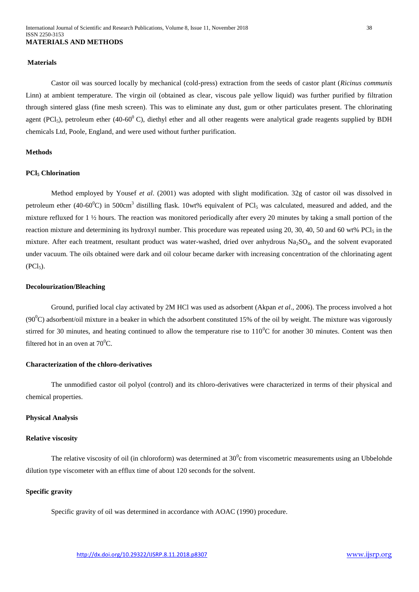#### **Materials**

Castor oil was sourced locally by mechanical (cold-press) extraction from the seeds of castor plant (*Ricinus communis* Linn) at ambient temperature. The virgin oil (obtained as clear, viscous pale yellow liquid) was further purified by filtration through sintered glass (fine mesh screen). This was to eliminate any dust, gum or other particulates present. The chlorinating agent (PCl<sub>5</sub>), petroleum ether (40-60<sup>0</sup> C), diethyl ether and all other reagents were analytical grade reagents supplied by BDH chemicals Ltd, Poole, England, and were used without further purification.

# **Methods**

# **PCl<sup>5</sup> Chlorination**

Method employed by Yousef *et al*. (2001) was adopted with slight modification. 32g of castor oil was dissolved in petroleum ether (40-60 $^{\circ}$ C) in 500cm<sup>3</sup> distilling flask. 10wt% equivalent of PCl<sub>5</sub> was calculated, measured and added, and the mixture refluxed for 1 ½ hours. The reaction was monitored periodically after every 20 minutes by taking a small portion of the reaction mixture and determining its hydroxyl number. This procedure was repeated using  $20$ ,  $30$ ,  $40$ ,  $50$  and  $60$  wt%  $PCl<sub>5</sub>$  in the mixture. After each treatment, resultant product was water-washed, dried over anhydrous  $Na<sub>2</sub>SO<sub>4</sub>$ , and the solvent evaporated under vacuum. The oils obtained were dark and oil colour became darker with increasing concentration of the chlorinating agent  $(PCl<sub>5</sub>)$ .

## **Decolourization/Bleaching**

Ground, purified local clay activated by 2M HCl was used as adsorbent (Akpan *et al*., 2006). The process involved a hot (90 $^{\circ}$ C) adsorbent/oil mixture in a beaker in which the adsorbent constituted 15% of the oil by weight. The mixture was vigorously stirred for 30 minutes, and heating continued to allow the temperature rise to  $110^{\circ}$ C for another 30 minutes. Content was then filtered hot in an oven at  $70^0C$ .

## **Characterization of the chloro-derivatives**

The unmodified castor oil polyol (control) and its chloro-derivatives were characterized in terms of their physical and chemical properties.

#### **Physical Analysis**

#### **Relative viscosity**

The relative viscosity of oil (in chloroform) was determined at  $30^0$ c from viscometric measurements using an Ubbelohde dilution type viscometer with an efflux time of about 120 seconds for the solvent.

# **Specific gravity**

Specific gravity of oil was determined in accordance with AOAC (1990) procedure.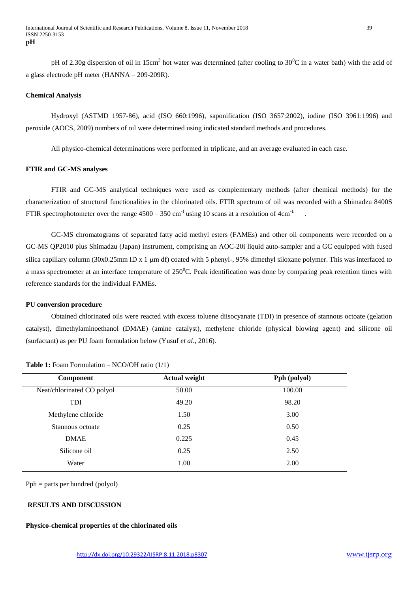pH of 2.30g dispersion of oil in 15cm<sup>3</sup> hot water was determined (after cooling to  $30^0C$  in a water bath) with the acid of a glass electrode pH meter (HANNA – 209-209R).

## **Chemical Analysis**

Hydroxyl (ASTMD 1957-86), acid (ISO 660:1996), saponification (ISO 3657:2002), iodine (ISO 3961:1996) and peroxide (AOCS, 2009) numbers of oil were determined using indicated standard methods and procedures.

All physico-chemical determinations were performed in triplicate, and an average evaluated in each case.

## **FTIR and GC-MS analyses**

FTIR and GC-MS analytical techniques were used as complementary methods (after chemical methods) for the characterization of structural functionalities in the chlorinated oils. FTIR spectrum of oil was recorded with a Shimadzu 8400S FTIR spectrophotometer over the range  $4500 - 350$  cm<sup>-1</sup> using 10 scans at a resolution of 4cm<sup>-1</sup> .

GC-MS chromatograms of separated fatty acid methyl esters (FAMEs) and other oil components were recorded on a GC-MS QP2010 plus Shimadzu (Japan) instrument, comprising an AOC-20i liquid auto-sampler and a GC equipped with fused silica capillary column  $(30x0.25mm \text{ ID } x 1 \text{ um df})$  coated with 5 phenyl-, 95% dimethyl siloxane polymer. This was interfaced to a mass spectrometer at an interface temperature of  $250^{\circ}$ C. Peak identification was done by comparing peak retention times with reference standards for the individual FAMEs.

## **PU conversion procedure**

Obtained chlorinated oils were reacted with excess toluene diisocyanate (TDI) in presence of stannous octoate (gelation catalyst), dimethylaminoethanol (DMAE) (amine catalyst), methylene chloride (physical blowing agent) and silicone oil (surfactant) as per PU foam formulation below (Yusuf *et al*., 2016).

| <b>Component</b>           | <b>Actual weight</b> | Pph (polyol) |  |  |
|----------------------------|----------------------|--------------|--|--|
| Neat/chlorinated CO polyol | 50.00                | 100.00       |  |  |
| <b>TDI</b>                 | 49.20                | 98.20        |  |  |
| Methylene chloride         | 1.50                 | 3.00         |  |  |
| Stannous octoate           | 0.25                 | 0.50         |  |  |
| <b>DMAE</b>                | 0.225                | 0.45         |  |  |
| Silicone oil               | 0.25                 | 2.50         |  |  |
| Water                      | 1.00                 | 2.00         |  |  |

# **Table 1:** Foam Formulation – NCO/OH ratio (1/1)

Pph = parts per hundred (polyol)

# **RESULTS AND DISCUSSION**

## **Physico-chemical properties of the chlorinated oils**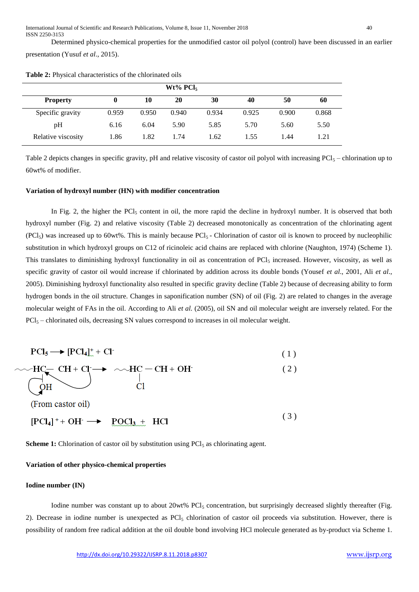Determined physico-chemical properties for the unmodified castor oil polyol (control) have been discussed in an earlier presentation (Yusuf *et al*., 2015).

| $Wt\%$ PCl <sub>5</sub> |       |       |       |       |       |       |       |  |
|-------------------------|-------|-------|-------|-------|-------|-------|-------|--|
| <b>Property</b>         |       | 10    | 20    | 30    | 40    | 50    | 60    |  |
| Specific gravity        | 0.959 | 0.950 | 0.940 | 0.934 | 0.925 | 0.900 | 0.868 |  |
| pH                      | 6.16  | 6.04  | 5.90  | 5.85  | 5.70  | 5.60  | 5.50  |  |
| Relative viscosity      | 1.86  | 1.82  | 1.74  | 1.62  | 1.55  | 1.44  | 1.21  |  |

**Table 2:** Physical characteristics of the chlorinated oils

Table 2 depicts changes in specific gravity, pH and relative viscosity of castor oil polyol with increasing  $PCI<sub>5</sub>$  – chlorination up to 60wt% of modifier.

#### **Variation of hydroxyl number (HN) with modifier concentration**

In Fig. 2, the higher the PCl<sub>5</sub> content in oil, the more rapid the decline in hydroxyl number. It is observed that both hydroxyl number (Fig. 2) and relative viscosity (Table 2) decreased monotonically as concentration of the chlorinating agent  $(PCl<sub>5</sub>)$  was increased up to 60wt%. This is mainly because PCl<sub>5</sub> - Chlorination of castor oil is known to proceed by nucleophilic substitution in which hydroxyl groups on C12 of ricinoleic acid chains are replaced with chlorine (Naughton, 1974) (Scheme 1). This translates to diminishing hydroxyl functionality in oil as concentration of  $\text{PCl}_5$  increased. However, viscosity, as well as specific gravity of castor oil would increase if chlorinated by addition across its double bonds (Yousef *et al*., 2001, Ali *et al*., 2005). Diminishing hydroxyl functionality also resulted in specific gravity decline (Table 2) because of decreasing ability to form hydrogen bonds in the oil structure. Changes in saponification number (SN) of oil (Fig. 2) are related to changes in the average molecular weight of FAs in the oil. According to Ali *et al.* (2005), oil SN and oil molecular weight are inversely related. For the  $PCl<sub>5</sub>$  – chlorinated oils, decreasing SN values correspond to increases in oil molecular weight.

| $\text{PCl}_5 \longrightarrow [\text{PCl}_4]^+ \cdot \text{Cl}^-$                            |     |
|----------------------------------------------------------------------------------------------|-----|
| $\sim$ HC <sub><math>\leftarrow</math></sub> CH + Cl $\rightarrow$ $\sim$ HC – CH + OH<br>OH | (2) |
| (From castor oil)                                                                            |     |
| $[PCl_4]^+$ + OH $\longrightarrow$ POCl <sub>3</sub> + HCl                                   | (3) |

**Scheme 1:** Chlorination of castor oil by substitution using PCI<sub>5</sub> as chlorinating agent.

## **Variation of other physico-chemical properties**

## **Iodine number (IN)**

Iodine number was constant up to about 20wt% PCl<sub>5</sub> concentration, but surprisingly decreased slightly thereafter (Fig. 2). Decrease in iodine number is unexpected as  $PCl<sub>5</sub>$  chlorination of castor oil proceeds via substitution. However, there is possibility of random free radical addition at the oil double bond involving HCl molecule generated as by-product via Scheme 1.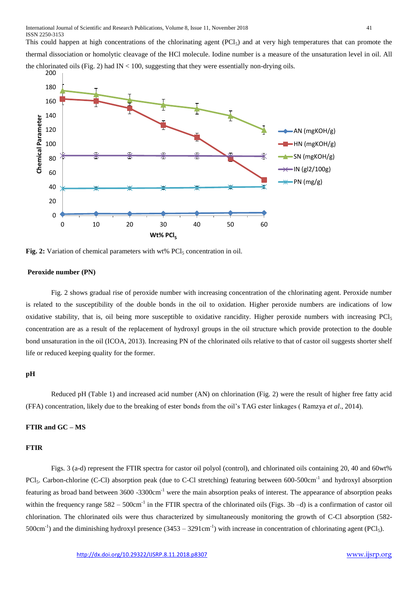This could happen at high concentrations of the chlorinating agent  $(PCl<sub>5</sub>)$  and at very high temperatures that can promote the thermal dissociation or homolytic cleavage of the HCl molecule. Iodine number is a measure of the unsaturation level in oil. All the chlorinated oils (Fig. 2) had  $IN < 100$ , suggesting that they were essentially non-drying oils.



**Fig. 2:** Variation of chemical parameters with wt% PCl<sub>5</sub> concentration in oil.

## **Peroxide number (PN)**

Fig. 2 shows gradual rise of peroxide number with increasing concentration of the chlorinating agent. Peroxide number is related to the susceptibility of the double bonds in the oil to oxidation. Higher peroxide numbers are indications of low oxidative stability, that is, oil being more susceptible to oxidative rancidity. Higher peroxide numbers with increasing PCl<sup>5</sup> concentration are as a result of the replacement of hydroxyl groups in the oil structure which provide protection to the double bond unsaturation in the oil (ICOA, 2013). Increasing PN of the chlorinated oils relative to that of castor oil suggests shorter shelf life or reduced keeping quality for the former.

# **pH**

Reduced pH (Table 1) and increased acid number (AN) on chlorination (Fig. 2) were the result of higher free fatty acid (FFA) concentration, likely due to the breaking of ester bonds from the oil's TAG ester linkages ( Ramzya *et al*., 2014).

# **FTIR and GC – MS**

## **FTIR**

Figs. 3 (a-d) represent the FTIR spectra for castor oil polyol (control), and chlorinated oils containing 20, 40 and 60wt% PCl<sub>5</sub>. Carbon-chlorine (C-Cl) absorption peak (due to C-Cl stretching) featuring between 600-500cm<sup>-1</sup> and hydroxyl absorption featuring as broad band between 3600 -3300cm-1 were the main absorption peaks of interest. The appearance of absorption peaks within the frequency range  $582 - 500$ cm<sup>-1</sup> in the FTIR spectra of the chlorinated oils (Figs. 3b -d) is a confirmation of castor oil chlorination. The chlorinated oils were thus characterized by simultaneously monitoring the growth of C-Cl absorption (582- 500cm<sup>-1</sup>) and the diminishing hydroxyl presence  $(3453 - 3291 \text{cm}^{-1})$  with increase in concentration of chlorinating agent (PCl<sub>5</sub>).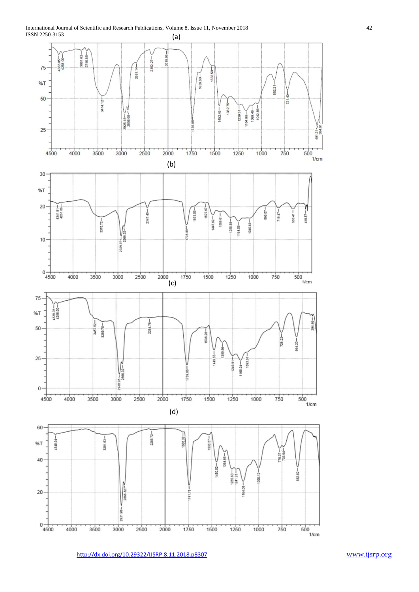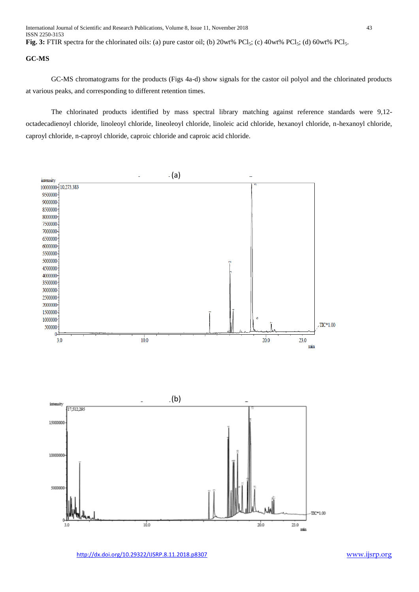ISSN 2250-3153 Fig. 3: FTIR spectra for the chlorinated oils: (a) pure castor oil; (b) 20wt% PCl<sub>5</sub>; (c) 40wt% PCl<sub>5</sub>; (d) 60wt% PCl<sub>5</sub>.

## **GC-MS**

GC-MS chromatograms for the products (Figs 4a-d) show signals for the castor oil polyol and the chlorinated products at various peaks, and corresponding to different retention times.

The chlorinated products identified by mass spectral library matching against reference standards were 9,12 octadecadienoyl chloride, linoleoyl chloride, lineoleoyl chloride, linoleic acid chloride, hexanoyl chloride, n-hexanoyl chloride, caproyl chloride, n-caproyl chloride, caproic chloride and caproic acid chloride.

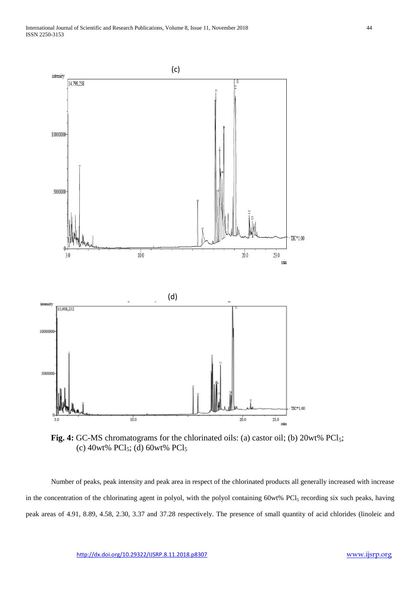

Fig. 4: GC-MS chromatograms for the chlorinated oils: (a) castor oil; (b) 20wt% PCl<sub>5</sub>; (c) 40wt% PCl<sub>5</sub>; (d) 60wt% PCl<sub>5</sub>

Number of peaks, peak intensity and peak area in respect of the chlorinated products all generally increased with increase in the concentration of the chlorinating agent in polyol, with the polyol containing 60wt% PCl<sub>5</sub> recording six such peaks, having peak areas of 4.91, 8.89, 4.58, 2.30, 3.37 and 37.28 respectively. The presence of small quantity of acid chlorides (linoleic and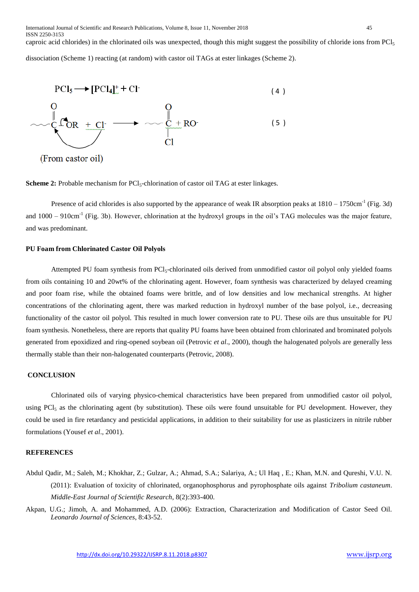caproic acid chlorides) in the chlorinated oils was unexpected, though this might suggest the possibility of chloride ions from PCl<sup>5</sup> dissociation (Scheme 1) reacting (at random) with castor oil TAGs at ester linkages (Scheme 2).



(From castor oil)

**Scheme 2:** Probable mechanism for PCl<sub>5</sub>-chlorination of castor oil TAG at ester linkages.

Presence of acid chlorides is also supported by the appearance of weak IR absorption peaks at  $1810 - 1750 \text{cm}^{-1}$  (Fig. 3d) and  $1000 - 910 \text{cm}^{-1}$  (Fig. 3b). However, chlorination at the hydroxyl groups in the oil's TAG molecules was the major feature, and was predominant.

# **PU Foam from Chlorinated Castor Oil Polyols**

Attempted PU foam synthesis from PCl<sub>3</sub>-chlorinated oils derived from unmodified castor oil polyol only yielded foams from oils containing 10 and 20wt% of the chlorinating agent. However, foam synthesis was characterized by delayed creaming and poor foam rise, while the obtained foams were brittle, and of low densities and low mechanical strengths. At higher concentrations of the chlorinating agent, there was marked reduction in hydroxyl number of the base polyol, i.e., decreasing functionality of the castor oil polyol. This resulted in much lower conversion rate to PU. These oils are thus unsuitable for PU foam synthesis. Nonetheless, there are reports that quality PU foams have been obtained from chlorinated and brominated polyols generated from epoxidized and ring-opened soybean oil (Petrovic *et al*., 2000), though the halogenated polyols are generally less thermally stable than their non-halogenated counterparts (Petrovic, 2008).

# **CONCLUSION**

Chlorinated oils of varying physico-chemical characteristics have been prepared from unmodified castor oil polyol, using  $PCl<sub>5</sub>$  as the chlorinating agent (by substitution). These oils were found unsuitable for PU development. However, they could be used in fire retardancy and pesticidal applications, in addition to their suitability for use as plasticizers in nitrile rubber formulations (Yousef *et al*., 2001).

# **REFERENCES**

- Abdul Qadir, M.; Saleh, M.; Khokhar, Z.; Gulzar, A.; Ahmad, S.A.; Salariya, A.; Ul Haq , E.; Khan, M.N. and Qureshi, V.U. N. (2011): Evaluation of toxicity of chlorinated, organophosphorus and pyrophosphate oils against *Tribolium castaneum*. *Middle-East Journal of Scientific Research*, 8(2):393-400.
- Akpan, U.G.; Jimoh, A. and Mohammed, A.D. (2006): Extraction, Characterization and Modification of Castor Seed Oil. *Leonardo Journal of Sciences*, 8:43-52.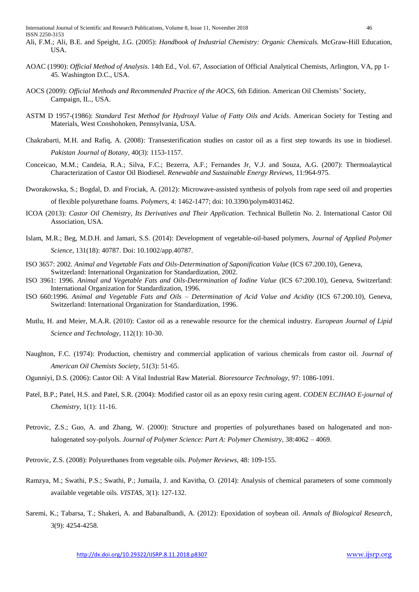- Ali, F.M.; Ali, B.E. and Speight, J.G. (2005): *Handbook of Industrial Chemistry: Organic Chemicals.* McGraw-Hill Education, USA.
- AOAC (1990): *Official Method of Analysis*. 14th Ed., Vol. 67, Association of Official Analytical Chemists, Arlington, VA, pp 1- 45. Washington D.C., USA.
- AOCS (2009): *Official Methods and Recommended Practice of the AOCS,* 6th Edition. American Oil Chemists' Society, Campaign, IL., USA.
- ASTM D 1957-(1986): *Standard Test Method for Hydroxyl Value of Fatty Oils and Acids*. American Society for Testing and Materials, West Conshohoken, Pennsylvania, USA.
- Chakrabarti, M.H. and Rafiq, A. (2008): Transesterification studies on castor oil as a first step towards its use in biodiesel. *Pakistan Journal of Botany*, 40(3): 1153-1157.
- Conceicao, M.M.; Candeia, R.A.; Silva, F.C.; Bezerra, A.F.; Fernandes Jr, V.J. and Souza, A.G. (2007): Thermoalaytical Characterization of Castor Oil Biodiesel. *Renewable and Sustainable Energy Reviews,* 11:964-975.
- Dworakowska, S.; Bogdal, D. and Frociak, A. (2012): Microwave-assisted synthesis of polyols from rape seed oil and properties of flexible polyurethane foams. *Polymers*, 4: 1462-1477; doi: 10.3390/polym4031462.
- ICOA (2013): *Castor Oil Chemistry, Its Derivatives and Their Application*. Technical Bulletin No. 2. International Castor Oil Association, USA.
- Islam, M.R.; Beg, M.D.H. and Jamari, S.S. (2014): Development of vegetable-oil-based polymers, *Journal of Applied Polymer Science*, 131(18): 40787. Doi: 10.1002/app.40787.
- ISO 3657: 2002. *Animal and Vegetable Fats and Oils-Determination of Saponification Value* (ICS 67.200.10), Geneva, Switzerland: International Organization for Standardization, 2002.
- ISO 3961: 1996. *Animal and Vegetable Fats and Oils-Determination of Iodine Value* (ICS 67:200.10), Geneva, Switzerland: International Organization for Standardization, 1996.
- ISO 660:1996. *Animal and Vegetable Fats and Oils – Determination of Acid Value and Acidity* (ICS 67.200.10), Geneva, Switzerland: International Organization for Standardization, 1996.
- Mutlu, H. and Meier, M.A.R. (2010): Castor oil as a renewable resource for the chemical industry. *European Journal of Lipid Science and Technology*, 112(1): 10-30.
- Naughton, F.C. (1974): Production, chemistry and commercial application of various chemicals from castor oil. *Journal of American Oil Chemists Society*, 51(3): 51-65.
- Ogunniyi, D.S. (2006): Castor Oil: A Vital Industrial Raw Material. *Bioresource Technology,* 97: 1086-1091.
- Patel, B.P.; Patel, H.S. and Patel, S.R. (2004): Modified castor oil as an epoxy resin curing agent. *CODEN ECJHAO E-journal of Chemistry*, 1(1): 11-16.
- Petrovic, Z.S.; Guo, A. and Zhang, W. (2000): Structure and properties of polyurethanes based on halogenated and nonhalogenated soy-polyols. *Journal of Polymer Science: Part A: Polymer Chemistry*, 38:4062 – 4069.
- Petrovic, Z.S. (2008): Polyurethanes from vegetable oils. *Polymer Reviews*, 48: 109-155.
- Ramzya, M.; Swathi, P.S.; Swathi, P.; Jumaila, J. and Kavitha, O. (2014): Analysis of chemical parameters of some commonly available vegetable oils. *VISTAS*, 3(1): 127-132.
- Saremi, K.; Tabarsa, T.; Shakeri, A. and Babanalbandi, A. (2012): Epoxidation of soybean oil. *Annals of Biological Research*, 3(9): 4254-4258.